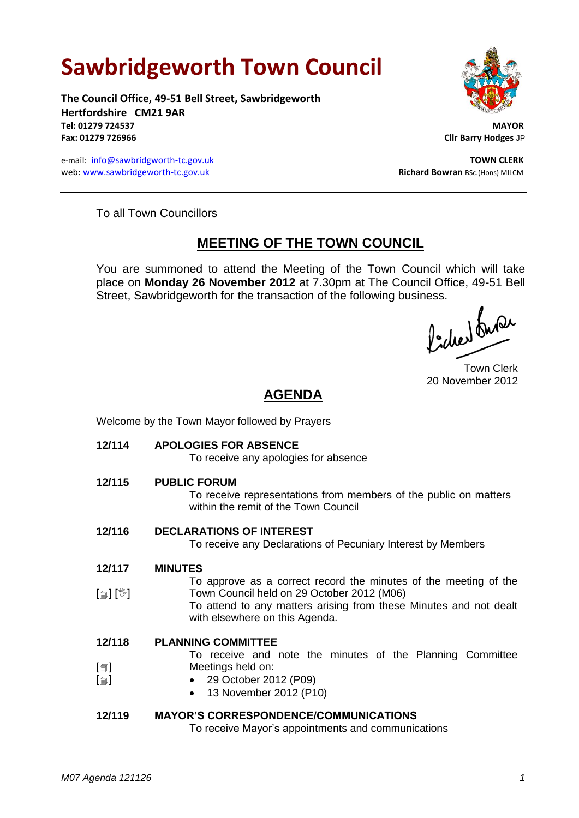# **Sawbridgeworth Town Council**

**The Council Office, 49-51 Bell Street, Sawbridgeworth Hertfordshire CM21 9AR Tel: 01279 724537 MAYOR Fax: 01279 726966 Cllr Barry Hodges** JP

e-mail: [info@sawbridgworth-tc.gov.uk](mailto:info@sawbridgworth-tc.gov.uk) **TOWN CLERK** web: www.sawbridgeworth-tc.gov.uk **Richard Bowran** BSc.(Hons) MILCM



To all Town Councillors

## **MEETING OF THE TOWN COUNCIL**

You are summoned to attend the Meeting of the Town Council which will take place on **Monday 26 November 2012** at 7.30pm at The Council Office, 49-51 Bell Street, Sawbridgeworth for the transaction of the following business.<br>  $\Lambda$  ,  $\Lambda$ 

Town Clerk 20 November 2012

# **AGENDA**

Welcome by the Town Mayor followed by Prayers

**12/114 APOLOGIES FOR ABSENCE**

To receive any apologies for absence

**12/115 PUBLIC FORUM**

To receive representations from members of the public on matters within the remit of the Town Council

**12/116 DECLARATIONS OF INTEREST**

To receive any Declarations of Pecuniary Interest by Members

- **12/117 MINUTES**
- [創] [<sup>3</sup>] To approve as a correct record the minutes of the meeting of the Town Council held on 29 October 2012 (M06) To attend to any matters arising from these Minutes and not dealt
	- with elsewhere on this Agenda.

#### **12/118 PLANNING COMMITTEE**

 $\lceil$  $\blacksquare$ To receive and note the minutes of the Planning Committee Meetings held on:

- 29 October 2012 (P09)
	- 13 November 2012 (P10)

## **12/119 MAYOR'S CORRESPONDENCE/COMMUNICATIONS**

To receive Mayor's appointments and communications

 $\lceil$  $\blacksquare$